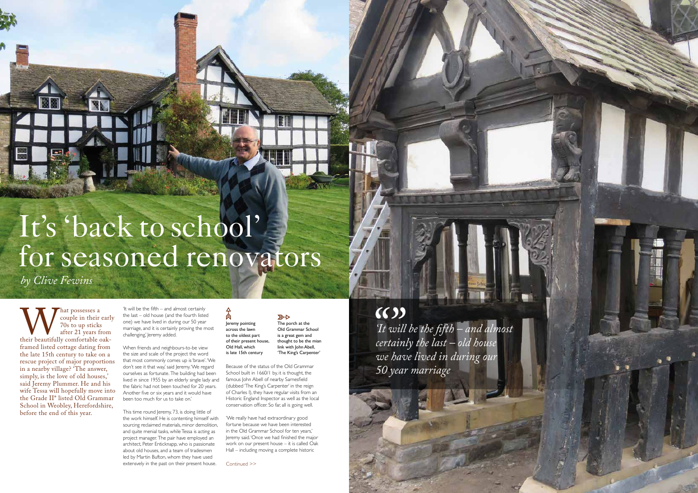Mat possesses a<br>couple in their<br>70s to up sticks<br>after 21 years fi<br>framed listed cottage dating fr couple in their early 70s to up sticks after 21 years from their beautifully comfortable oakframed listed cottage dating from the late 15th century to take on a rescue project of major proportions in a nearby village? 'The answer, simply, is the love of old houses,' said Jeremy Plummer. He and his wife Tessa will hopefully move into the Grade II\* listed Old Grammar School in Weobley, Herefordshire, before the end of this year.

'It will be the fifth – and almost certainly the last – old house (and the fourth listed one) we have lived in during our 50 year marriage, and it is certainly proving the most challenging,' Jeremy added.

人々 Jeremy pointing across the lawn to the oldest part of their present house, Old Hall, which is late 15th century

When friends and neighbours-to-be view the size and scale of the project the word that most commonly comes up is 'brave'. 'We don't see it that way, said Jeremy. 'We regard ourselves as fortunate. The building had been lived in since 1955 by an elderly single lady and the fabric had not been touched for 20 years. Another five or six years and it would have been too much for us to take on.'

This time round Jeremy, 73, is doing little of the work himself. He is contenting himself with sourcing reclaimed materials, minor demolition, and quite menial tasks, while Tessa is acting as project manager. The pair have employed an architect, Peter Enticknapp, who is passionate about old houses, and a team of tradesmen led by Martin Bufton, whom they have used extensvely in the past on their present house. Continued >>

 $\mathbb{Z}$ The porch at the Old Grammar School is a great gem and thought to be the mian link with John Abell. 'The King's Carpenter'

Because of the status of the Old Grammar School built in 1660/1 by, it is thought, the famous John Abell of nearby Sarnesfield (dubbed 'The King's Carpenter' in the reign of Charles I), they have regular visits from an Historic England Inspector as well as the local conservation officer. So far, all is going well.

'We really have had extraordinary good fortune because we have been interested in the Old Grammar School for ten years,' Jeremy said. 'Once we had finished the major work on our present house – it is called Oak Hall – including moving a complete historic



# It's 'back to school' for seasoned renovators

*by Clive Fewins*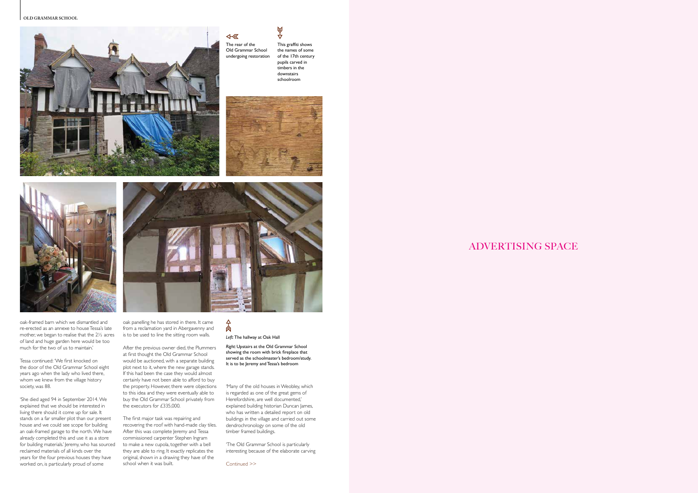**OLD GRAMMAR SCHOOL**



# ADVERTISING SPACE

Continued >>



Old Grammar School undergoing restoration

oak-framed barn which we dismantled and re-erected as an annexe to house Tessa's late mother, we began to realise that the 2½ acres of land and huge garden here would be too much for the two of us to maintain.'

Tessa continued: 'We first knocked on the door of the Old Grammar School eight years ago when the lady who lived there, whom we knew from the village history society, was 88.

'She died aged 94 in September 2014. We explained that we should be interested in living there should it come up for sale. It stands on a far smaller plot than our present house and we could see scope for building an oak-framed garage to the north. We have already completed this and use it as a store for building materials.' Jeremy, who has sourced reclaimed materials of all kinds over the years for the four previous houses they have worked on, is particularly proud of some

oak panelling he has stored in there. It came from a reclamation yard in Abergavenny and is to be used to line the sitting room walls.

### 肏 *Left:* The hallway at Oak Hall

After the previous owner died, the Plummers at first thought the Old Grammar School would be auctioned, with a separate building plot next to it, where the new garage stands. If this had been the case they would almost certainly have not been able to afford to buy the property. However, there were objections to this idea and they were eventually able to buy the Old Grammar School privately from the executors for £335,000.

The first major task was repairing and recovering the roof with hand-made clay tiles. After this was complete Jeremy and Tessa commissioned carpenter Stephen Ingram to make a new cupola, together with a bell they are able to ring. It exactly replicates the original, shown in a drawing they have of the school when it was built.

'Many of the old houses in Weobley, which is regarded as one of the great gems of Herefordshire, are well documented,' explained building historian Duncan James, who has written a detailed report on old buildings in the village and carried out some dendrochronology on some of the old timber framed buildings.

'The Old Grammar School is particularly interesting because of the elaborate carving

This graffiti shows the names of some of the 17th century pupils carved in timbers in the downstairs schoolroom

4⊗





 $\triangle$ 

*Right:* Upstairs at the Old Grammar School showing the room with brick fireplace that served as the schoolmaster's bedroom/study. It is to be Jeremy and Tessa's bedroom